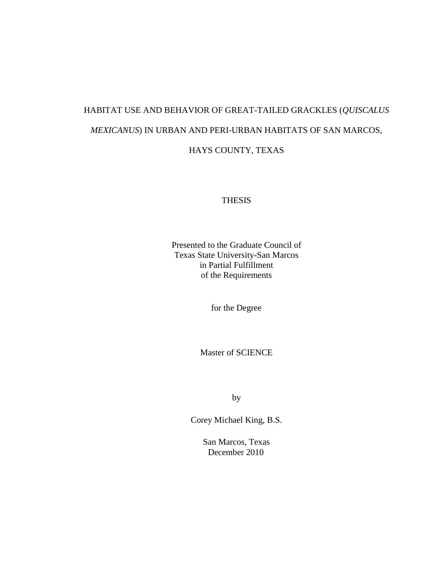# HABITAT USE AND BEHAVIOR OF GREAT-TAILED GRACKLES (*QUISCALUS MEXICANUS*) IN URBAN AND PERI-URBAN HABITATS OF SAN MARCOS, HAYS COUNTY, TEXAS

#### THESIS

Presented to the Graduate Council of Texas State University-San Marcos in Partial Fulfillment of the Requirements

for the Degree

Master of SCIENCE

by

Corey Michael King, B.S.

San Marcos, Texas December 2010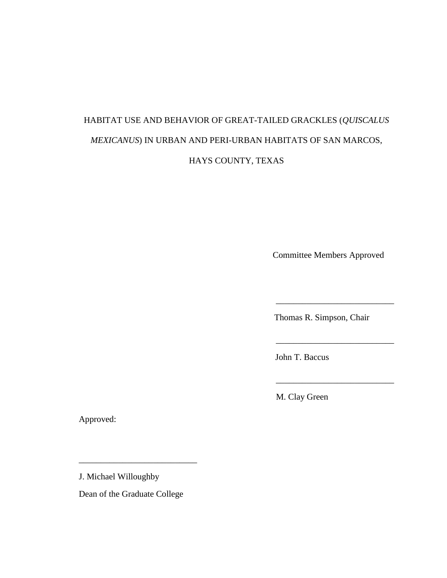# HABITAT USE AND BEHAVIOR OF GREAT-TAILED GRACKLES (*QUISCALUS MEXICANUS*) IN URBAN AND PERI-URBAN HABITATS OF SAN MARCOS, HAYS COUNTY, TEXAS

Committee Members Approved

\_\_\_\_\_\_\_\_\_\_\_\_\_\_\_\_\_\_\_\_\_\_\_\_\_\_\_

\_\_\_\_\_\_\_\_\_\_\_\_\_\_\_\_\_\_\_\_\_\_\_\_\_\_\_

 $\frac{1}{2}$  ,  $\frac{1}{2}$  ,  $\frac{1}{2}$  ,  $\frac{1}{2}$  ,  $\frac{1}{2}$  ,  $\frac{1}{2}$  ,  $\frac{1}{2}$  ,  $\frac{1}{2}$  ,  $\frac{1}{2}$  ,  $\frac{1}{2}$  ,  $\frac{1}{2}$  ,  $\frac{1}{2}$  ,  $\frac{1}{2}$  ,  $\frac{1}{2}$  ,  $\frac{1}{2}$  ,  $\frac{1}{2}$  ,  $\frac{1}{2}$  ,  $\frac{1}{2}$  ,  $\frac{1$ 

Thomas R. Simpson, Chair

John T. Baccus

M. Clay Green

Approved:

J. Michael Willoughby

Dean of the Graduate College

\_\_\_\_\_\_\_\_\_\_\_\_\_\_\_\_\_\_\_\_\_\_\_\_\_\_\_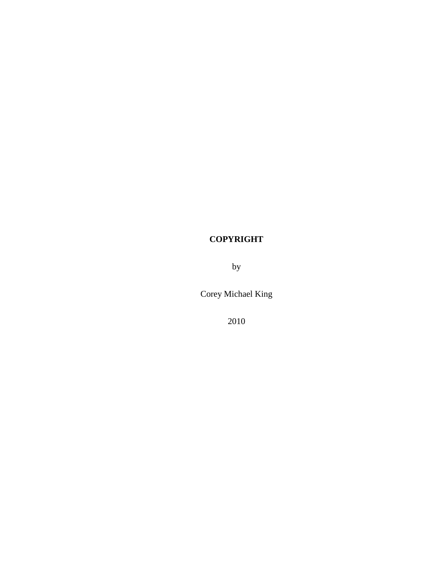## **COPYRIGHT**

by

Corey Michael King

2010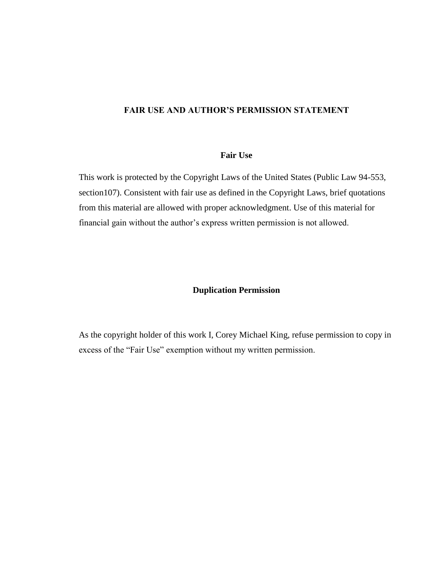#### **FAIR USE AND AUTHOR'S PERMISSION STATEMENT**

#### **Fair Use**

This work is protected by the Copyright Laws of the United States (Public Law 94-553, section107). Consistent with fair use as defined in the Copyright Laws, brief quotations from this material are allowed with proper acknowledgment. Use of this material for financial gain without the author's express written permission is not allowed.

#### **Duplication Permission**

As the copyright holder of this work I, Corey Michael King, refuse permission to copy in excess of the "Fair Use" exemption without my written permission.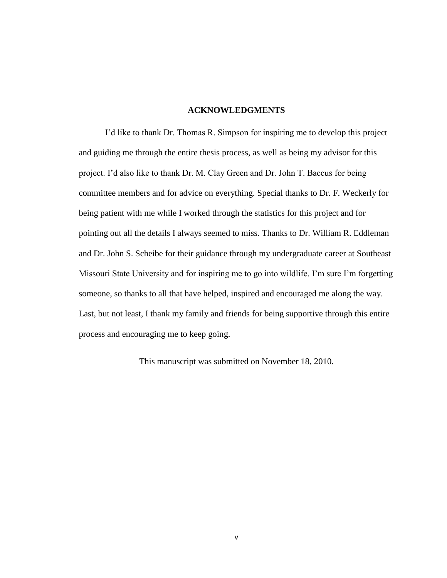#### **ACKNOWLEDGMENTS**

I'd like to thank Dr. Thomas R. Simpson for inspiring me to develop this project and guiding me through the entire thesis process, as well as being my advisor for this project. I'd also like to thank Dr. M. Clay Green and Dr. John T. Baccus for being committee members and for advice on everything. Special thanks to Dr. F. Weckerly for being patient with me while I worked through the statistics for this project and for pointing out all the details I always seemed to miss. Thanks to Dr. William R. Eddleman and Dr. John S. Scheibe for their guidance through my undergraduate career at Southeast Missouri State University and for inspiring me to go into wildlife. I'm sure I'm forgetting someone, so thanks to all that have helped, inspired and encouraged me along the way. Last, but not least, I thank my family and friends for being supportive through this entire process and encouraging me to keep going.

This manuscript was submitted on November 18, 2010.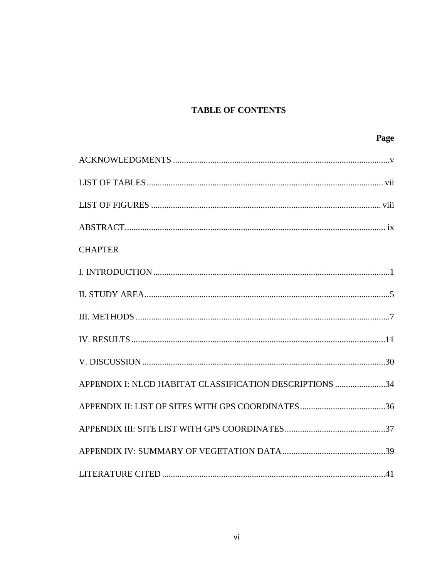## **TABLE OF CONTENTS**

| Page                                                    |
|---------------------------------------------------------|
|                                                         |
|                                                         |
|                                                         |
|                                                         |
| <b>CHAPTER</b>                                          |
|                                                         |
|                                                         |
|                                                         |
|                                                         |
|                                                         |
| APPENDIX I: NLCD HABITAT CLASSIFICATION DESCRIPTIONS 34 |
|                                                         |
|                                                         |
|                                                         |
|                                                         |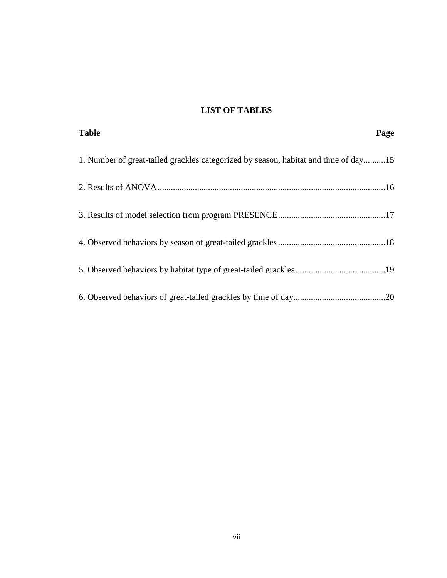### **LIST OF TABLES**

| <b>Table</b>                                                                        | Page |
|-------------------------------------------------------------------------------------|------|
| 1. Number of great-tailed grackles categorized by season, habitat and time of day15 |      |
|                                                                                     |      |
|                                                                                     |      |
|                                                                                     |      |
|                                                                                     |      |
|                                                                                     |      |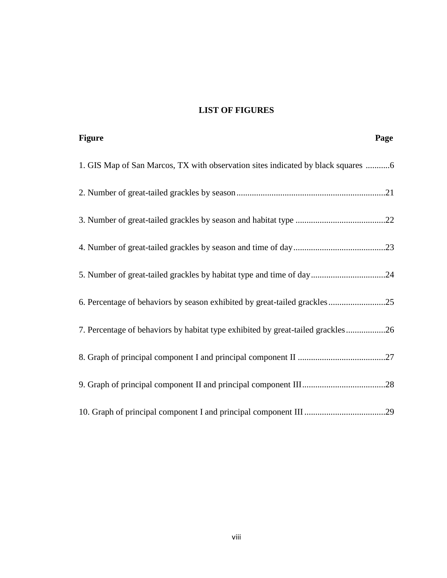### **LIST OF FIGURES**

| <b>Figure</b><br>Page                                                            |
|----------------------------------------------------------------------------------|
| 1. GIS Map of San Marcos, TX with observation sites indicated by black squares 6 |
|                                                                                  |
|                                                                                  |
|                                                                                  |
| 5. Number of great-tailed grackles by habitat type and time of day24             |
|                                                                                  |
| 7. Percentage of behaviors by habitat type exhibited by great-tailed grackles26  |
|                                                                                  |
|                                                                                  |
|                                                                                  |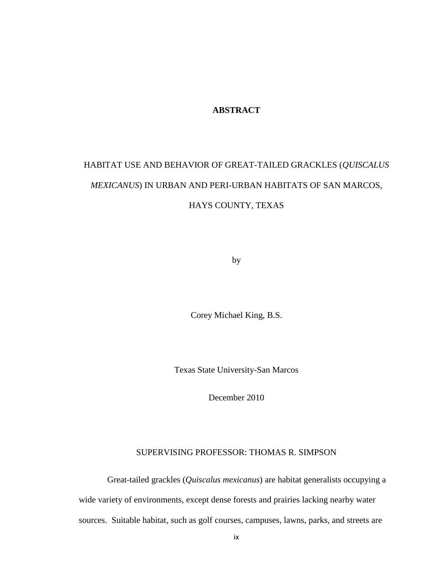#### **ABSTRACT**

# HABITAT USE AND BEHAVIOR OF GREAT-TAILED GRACKLES (*QUISCALUS MEXICANUS*) IN URBAN AND PERI-URBAN HABITATS OF SAN MARCOS, HAYS COUNTY, TEXAS

by

Corey Michael King, B.S.

Texas State University-San Marcos

December 2010

#### SUPERVISING PROFESSOR: THOMAS R. SIMPSON

Great-tailed grackles (*Quiscalus mexicanus*) are habitat generalists occupying a wide variety of environments, except dense forests and prairies lacking nearby water sources. Suitable habitat, such as golf courses, campuses, lawns, parks, and streets are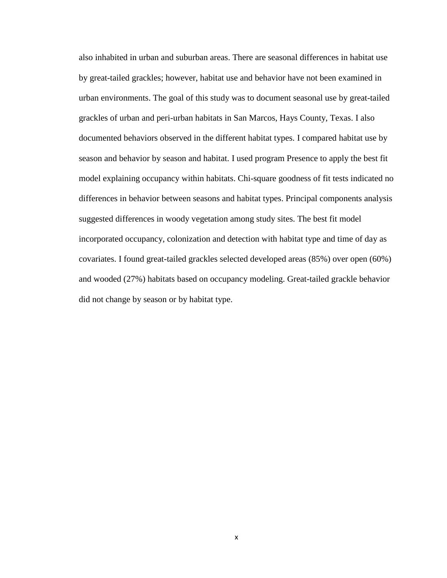also inhabited in urban and suburban areas. There are seasonal differences in habitat use by great-tailed grackles; however, habitat use and behavior have not been examined in urban environments. The goal of this study was to document seasonal use by great-tailed grackles of urban and peri-urban habitats in San Marcos, Hays County, Texas. I also documented behaviors observed in the different habitat types. I compared habitat use by season and behavior by season and habitat. I used program Presence to apply the best fit model explaining occupancy within habitats. Chi-square goodness of fit tests indicated no differences in behavior between seasons and habitat types. Principal components analysis suggested differences in woody vegetation among study sites. The best fit model incorporated occupancy, colonization and detection with habitat type and time of day as covariates. I found great-tailed grackles selected developed areas (85%) over open (60%) and wooded (27%) habitats based on occupancy modeling. Great-tailed grackle behavior did not change by season or by habitat type.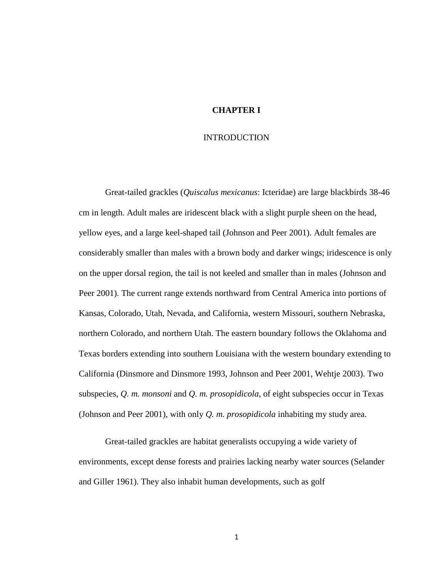#### **CHAPTER I**

#### INTRODUCTION

Great-tailed grackles (*Quiscalus mexicanus*: Icteridae) are large blackbirds 38-46 cm in length. Adult males are iridescent black with a slight purple sheen on the head, yellow eyes, and a large keel-shaped tail (Johnson and Peer 2001). Adult females are considerably smaller than males with a brown body and darker wings; iridescence is only on the upper dorsal region, the tail is not keeled and smaller than in males (Johnson and Peer 2001). The current range extends northward from Central America into portions of Kansas, Colorado, Utah, Nevada, and California, western Missouri, southern Nebraska, northern Colorado, and northern Utah. The eastern boundary follows the Oklahoma and Texas borders extending into southern Louisiana with the western boundary extending to California (Dinsmore and Dinsmore 1993, Johnson and Peer 2001, Wehtje 2003). Two subspecies, *Q. m. monsoni* and *Q. m. prosopidicola*, of eight subspecies occur in Texas (Johnson and Peer 2001), with only *Q. m. prosopidicola* inhabiting my study area.

Great-tailed grackles are habitat generalists occupying a wide variety of environments, except dense forests and prairies lacking nearby water sources (Selander and Giller 1961). They also inhabit human developments, such as golf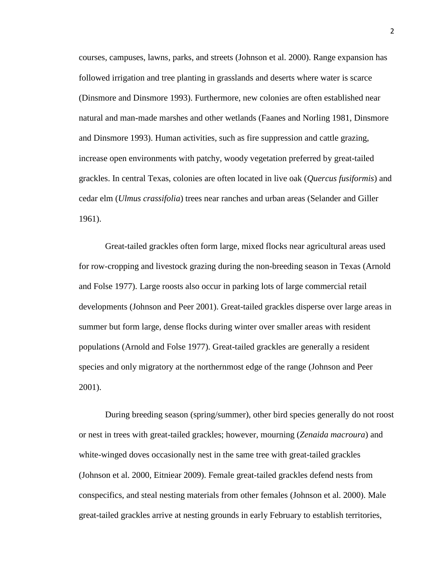courses, campuses, lawns, parks, and streets (Johnson et al. 2000). Range expansion has followed irrigation and tree planting in grasslands and deserts where water is scarce (Dinsmore and Dinsmore 1993). Furthermore, new colonies are often established near natural and man-made marshes and other wetlands (Faanes and Norling 1981, Dinsmore and Dinsmore 1993). Human activities, such as fire suppression and cattle grazing, increase open environments with patchy, woody vegetation preferred by great-tailed grackles. In central Texas, colonies are often located in live oak (*Quercus fusiformis*) and cedar elm (*Ulmus crassifolia*) trees near ranches and urban areas (Selander and Giller 1961).

Great-tailed grackles often form large, mixed flocks near agricultural areas used for row-cropping and livestock grazing during the non-breeding season in Texas (Arnold and Folse 1977). Large roosts also occur in parking lots of large commercial retail developments (Johnson and Peer 2001). Great-tailed grackles disperse over large areas in summer but form large, dense flocks during winter over smaller areas with resident populations (Arnold and Folse 1977). Great-tailed grackles are generally a resident species and only migratory at the northernmost edge of the range (Johnson and Peer 2001).

During breeding season (spring/summer), other bird species generally do not roost or nest in trees with great-tailed grackles; however, mourning (*Zenaida macroura*) and white-winged doves occasionally nest in the same tree with great-tailed grackles (Johnson et al. 2000, Eitniear 2009). Female great-tailed grackles defend nests from conspecifics, and steal nesting materials from other females (Johnson et al. 2000). Male great-tailed grackles arrive at nesting grounds in early February to establish territories,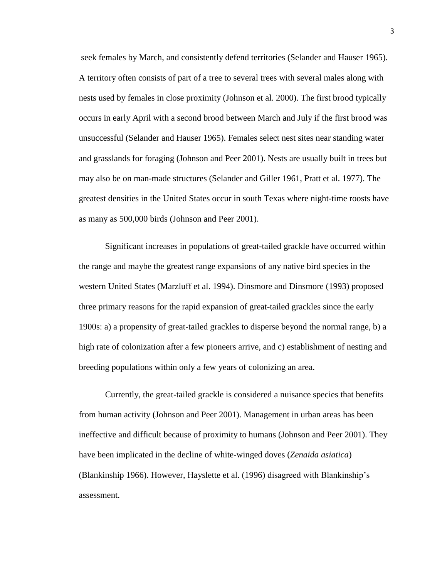seek females by March, and consistently defend territories (Selander and Hauser 1965). A territory often consists of part of a tree to several trees with several males along with nests used by females in close proximity (Johnson et al. 2000). The first brood typically occurs in early April with a second brood between March and July if the first brood was unsuccessful (Selander and Hauser 1965). Females select nest sites near standing water and grasslands for foraging (Johnson and Peer 2001). Nests are usually built in trees but may also be on man-made structures (Selander and Giller 1961, Pratt et al. 1977). The greatest densities in the United States occur in south Texas where night-time roosts have as many as 500,000 birds (Johnson and Peer 2001).

Significant increases in populations of great-tailed grackle have occurred within the range and maybe the greatest range expansions of any native bird species in the western United States (Marzluff et al. 1994). Dinsmore and Dinsmore (1993) proposed three primary reasons for the rapid expansion of great-tailed grackles since the early 1900s: a) a propensity of great-tailed grackles to disperse beyond the normal range, b) a high rate of colonization after a few pioneers arrive, and c) establishment of nesting and breeding populations within only a few years of colonizing an area.

Currently, the great-tailed grackle is considered a nuisance species that benefits from human activity (Johnson and Peer 2001). Management in urban areas has been ineffective and difficult because of proximity to humans (Johnson and Peer 2001). They have been implicated in the decline of white-winged doves (*Zenaida asiatica*) (Blankinship 1966). However, Hayslette et al. (1996) disagreed with Blankinship's assessment.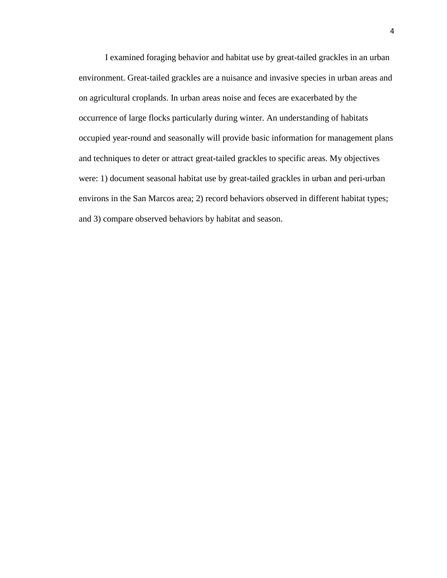I examined foraging behavior and habitat use by great-tailed grackles in an urban environment. Great-tailed grackles are a nuisance and invasive species in urban areas and on agricultural croplands. In urban areas noise and feces are exacerbated by the occurrence of large flocks particularly during winter. An understanding of habitats occupied year-round and seasonally will provide basic information for management plans and techniques to deter or attract great-tailed grackles to specific areas. My objectives were: 1) document seasonal habitat use by great-tailed grackles in urban and peri-urban environs in the San Marcos area; 2) record behaviors observed in different habitat types; and 3) compare observed behaviors by habitat and season.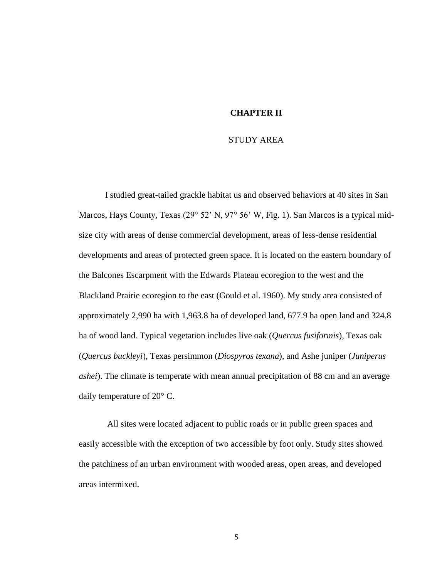#### **CHAPTER II**

#### STUDY AREA

I studied great-tailed grackle habitat us and observed behaviors at 40 sites in San Marcos, Hays County, Texas (29° 52' N, 97° 56' W, Fig. 1). San Marcos is a typical midsize city with areas of dense commercial development, areas of less-dense residential developments and areas of protected green space. It is located on the eastern boundary of the Balcones Escarpment with the Edwards Plateau ecoregion to the west and the Blackland Prairie ecoregion to the east (Gould et al. 1960). My study area consisted of approximately 2,990 ha with 1,963.8 ha of developed land, 677.9 ha open land and 324.8 ha of wood land. Typical vegetation includes live oak (*Quercus fusiformis*), Texas oak (*Quercus buckleyi*), Texas persimmon (*Diospyros texana*), and Ashe juniper (*Juniperus ashei*). The climate is temperate with mean annual precipitation of 88 cm and an average daily temperature of 20° C.

All sites were located adjacent to public roads or in public green spaces and easily accessible with the exception of two accessible by foot only. Study sites showed the patchiness of an urban environment with wooded areas, open areas, and developed areas intermixed.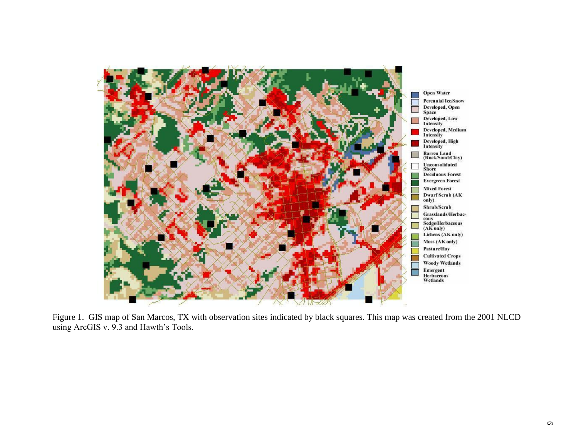

Figure 1. GIS map of San Marcos, TX with observation sites indicated by black squares. This map was created from the 2001 NLCD using ArcGIS v. 9.3 and Hawth's Tools.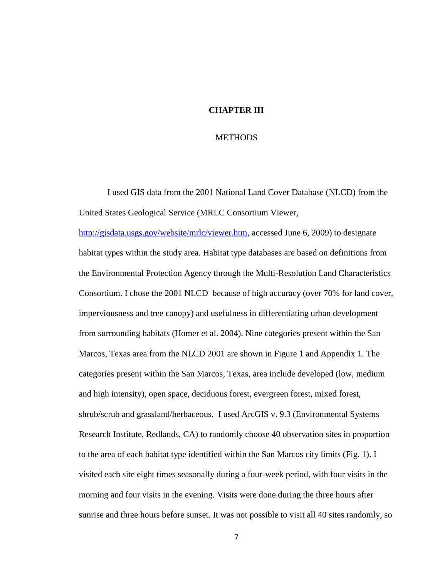#### **CHAPTER III**

#### **METHODS**

I used GIS data from the 2001 National Land Cover Database (NLCD) from the United States Geological Service (MRLC Consortium Viewer,

[http://gisdata.usgs.gov/website/mrlc/viewer.htm,](http://gisdata.usgs.gov/website/mrlc/viewer.htm) accessed June 6, 2009) to designate habitat types within the study area. Habitat type databases are based on definitions from the Environmental Protection Agency through the Multi-Resolution Land Characteristics Consortium. I chose the 2001 NLCD because of high accuracy (over 70% for land cover, imperviousness and tree canopy) and usefulness in differentiating urban development from surrounding habitats (Homer et al. 2004). Nine categories present within the San Marcos, Texas area from the NLCD 2001 are shown in Figure 1 and Appendix 1. The categories present within the San Marcos, Texas, area include developed (low, medium and high intensity), open space, deciduous forest, evergreen forest, mixed forest, shrub/scrub and grassland/herbaceous. I used ArcGIS v. 9.3 (Environmental Systems Research Institute, Redlands, CA) to randomly choose 40 observation sites in proportion to the area of each habitat type identified within the San Marcos city limits (Fig. 1). I visited each site eight times seasonally during a four-week period, with four visits in the morning and four visits in the evening. Visits were done during the three hours after sunrise and three hours before sunset. It was not possible to visit all 40 sites randomly, so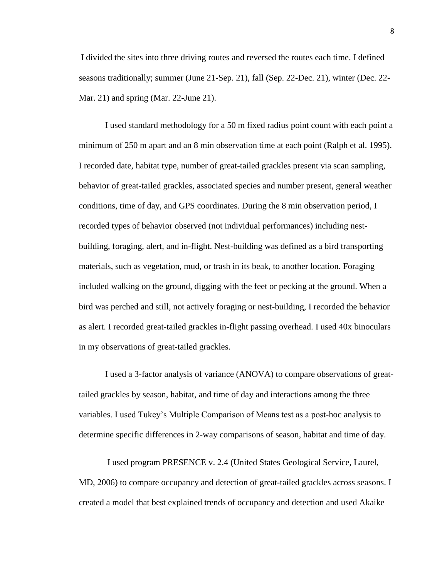I divided the sites into three driving routes and reversed the routes each time. I defined seasons traditionally; summer (June 21-Sep. 21), fall (Sep. 22-Dec. 21), winter (Dec. 22- Mar. 21) and spring (Mar. 22-June 21).

I used standard methodology for a 50 m fixed radius point count with each point a minimum of 250 m apart and an 8 min observation time at each point (Ralph et al. 1995). I recorded date, habitat type, number of great-tailed grackles present via scan sampling, behavior of great-tailed grackles, associated species and number present, general weather conditions, time of day, and GPS coordinates. During the 8 min observation period, I recorded types of behavior observed (not individual performances) including nestbuilding, foraging, alert, and in-flight. Nest-building was defined as a bird transporting materials, such as vegetation, mud, or trash in its beak, to another location. Foraging included walking on the ground, digging with the feet or pecking at the ground. When a bird was perched and still, not actively foraging or nest-building, I recorded the behavior as alert. I recorded great-tailed grackles in-flight passing overhead. I used 40x binoculars in my observations of great-tailed grackles.

I used a 3-factor analysis of variance (ANOVA) to compare observations of greattailed grackles by season, habitat, and time of day and interactions among the three variables. I used Tukey's Multiple Comparison of Means test as a post-hoc analysis to determine specific differences in 2-way comparisons of season, habitat and time of day.

I used program PRESENCE v. 2.4 (United States Geological Service, Laurel, MD, 2006) to compare occupancy and detection of great-tailed grackles across seasons. I created a model that best explained trends of occupancy and detection and used Akaike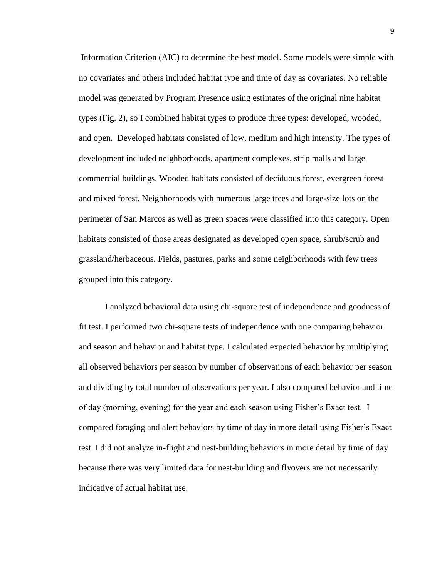Information Criterion (AIC) to determine the best model. Some models were simple with no covariates and others included habitat type and time of day as covariates. No reliable model was generated by Program Presence using estimates of the original nine habitat types (Fig. 2), so I combined habitat types to produce three types: developed, wooded, and open. Developed habitats consisted of low, medium and high intensity. The types of development included neighborhoods, apartment complexes, strip malls and large commercial buildings. Wooded habitats consisted of deciduous forest, evergreen forest and mixed forest. Neighborhoods with numerous large trees and large-size lots on the perimeter of San Marcos as well as green spaces were classified into this category. Open habitats consisted of those areas designated as developed open space, shrub/scrub and grassland/herbaceous. Fields, pastures, parks and some neighborhoods with few trees grouped into this category.

I analyzed behavioral data using chi-square test of independence and goodness of fit test. I performed two chi-square tests of independence with one comparing behavior and season and behavior and habitat type. I calculated expected behavior by multiplying all observed behaviors per season by number of observations of each behavior per season and dividing by total number of observations per year. I also compared behavior and time of day (morning, evening) for the year and each season using Fisher's Exact test. I compared foraging and alert behaviors by time of day in more detail using Fisher's Exact test. I did not analyze in-flight and nest-building behaviors in more detail by time of day because there was very limited data for nest-building and flyovers are not necessarily indicative of actual habitat use.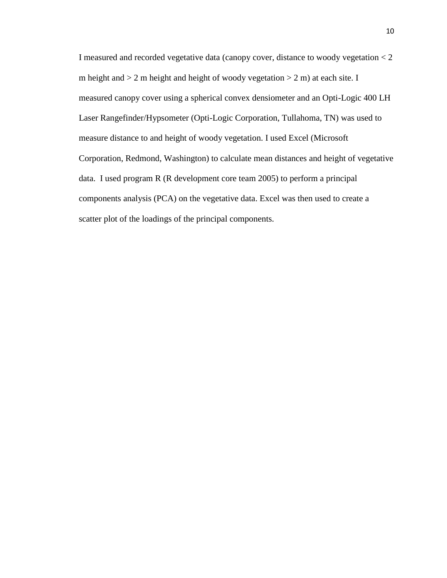I measured and recorded vegetative data (canopy cover, distance to woody vegetation < 2 m height and  $> 2$  m height and height of woody vegetation  $> 2$  m) at each site. I measured canopy cover using a spherical convex densiometer and an Opti-Logic 400 LH Laser Rangefinder/Hypsometer (Opti-Logic Corporation, Tullahoma, TN) was used to measure distance to and height of woody vegetation. I used Excel (Microsoft Corporation, Redmond, Washington) to calculate mean distances and height of vegetative data. I used program R (R development core team 2005) to perform a principal components analysis (PCA) on the vegetative data. Excel was then used to create a scatter plot of the loadings of the principal components.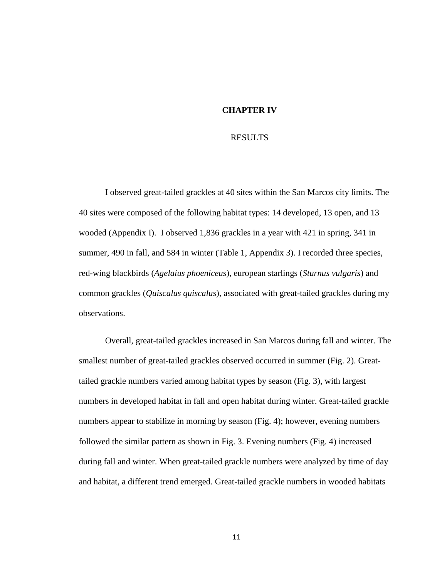#### **CHAPTER IV**

#### RESULTS

I observed great-tailed grackles at 40 sites within the San Marcos city limits. The 40 sites were composed of the following habitat types: 14 developed, 13 open, and 13 wooded (Appendix I). I observed 1,836 grackles in a year with 421 in spring, 341 in summer, 490 in fall, and 584 in winter (Table 1, Appendix 3). I recorded three species, red-wing blackbirds (*Agelaius phoeniceus*), european starlings (*Sturnus vulgaris*) and common grackles (*Quiscalus quiscalus*), associated with great-tailed grackles during my observations.

Overall, great-tailed grackles increased in San Marcos during fall and winter. The smallest number of great-tailed grackles observed occurred in summer (Fig. 2). Greattailed grackle numbers varied among habitat types by season (Fig. 3), with largest numbers in developed habitat in fall and open habitat during winter. Great-tailed grackle numbers appear to stabilize in morning by season (Fig. 4); however, evening numbers followed the similar pattern as shown in Fig. 3. Evening numbers (Fig. 4) increased during fall and winter. When great-tailed grackle numbers were analyzed by time of day and habitat, a different trend emerged. Great-tailed grackle numbers in wooded habitats

11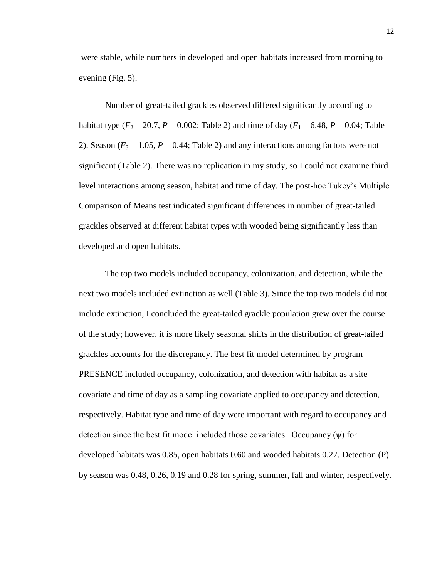were stable, while numbers in developed and open habitats increased from morning to evening (Fig. 5).

Number of great-tailed grackles observed differed significantly according to habitat type ( $F_2 = 20.7$ ,  $P = 0.002$ ; Table 2) and time of day ( $F_1 = 6.48$ ,  $P = 0.04$ ; Table 2). Season  $(F_3 = 1.05, P = 0.44$ ; Table 2) and any interactions among factors were not significant (Table 2). There was no replication in my study, so I could not examine third level interactions among season, habitat and time of day. The post-hoc Tukey's Multiple Comparison of Means test indicated significant differences in number of great-tailed grackles observed at different habitat types with wooded being significantly less than developed and open habitats.

The top two models included occupancy, colonization, and detection, while the next two models included extinction as well (Table 3). Since the top two models did not include extinction, I concluded the great-tailed grackle population grew over the course of the study; however, it is more likely seasonal shifts in the distribution of great-tailed grackles accounts for the discrepancy. The best fit model determined by program PRESENCE included occupancy, colonization, and detection with habitat as a site covariate and time of day as a sampling covariate applied to occupancy and detection, respectively. Habitat type and time of day were important with regard to occupancy and detection since the best fit model included those covariates. Occupancy  $(\psi)$  for developed habitats was 0.85, open habitats 0.60 and wooded habitats 0.27. Detection (P) by season was 0.48, 0.26, 0.19 and 0.28 for spring, summer, fall and winter, respectively.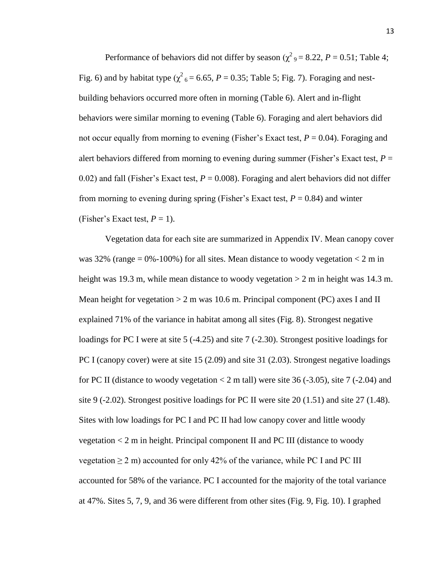Performance of behaviors did not differ by season ( $\chi^2$ <sub>9</sub> = 8.22, *P* = 0.51; Table 4; Fig. 6) and by habitat type ( $\chi^2$ <sub>6</sub> = 6.65, *P* = 0.35; Table 5; Fig. 7). Foraging and nestbuilding behaviors occurred more often in morning (Table 6). Alert and in-flight behaviors were similar morning to evening (Table 6). Foraging and alert behaviors did not occur equally from morning to evening (Fisher's Exact test, *P* = 0.04). Foraging and alert behaviors differed from morning to evening during summer (Fisher's Exact test, *P* = 0.02) and fall (Fisher's Exact test,  $P = 0.008$ ). Foraging and alert behaviors did not differ from morning to evening during spring (Fisher's Exact test,  $P = 0.84$ ) and winter (Fisher's Exact test,  $P = 1$ ).

Vegetation data for each site are summarized in Appendix IV. Mean canopy cover was 32% (range  $= 0\% - 100\%$ ) for all sites. Mean distance to woody vegetation  $< 2$  m in height was 19.3 m, while mean distance to woody vegetation  $> 2$  m in height was 14.3 m. Mean height for vegetation  $> 2$  m was 10.6 m. Principal component (PC) axes I and II explained 71% of the variance in habitat among all sites (Fig. 8). Strongest negative loadings for PC I were at site 5 (-4.25) and site 7 (-2.30). Strongest positive loadings for PC I (canopy cover) were at site 15 (2.09) and site 31 (2.03). Strongest negative loadings for PC II (distance to woody vegetation  $< 2$  m tall) were site 36 (-3.05), site 7 (-2.04) and site 9 (-2.02). Strongest positive loadings for PC II were site 20 (1.51) and site 27 (1.48). Sites with low loadings for PC I and PC II had low canopy cover and little woody vegetation < 2 m in height. Principal component II and PC III (distance to woody vegetation  $\geq 2$  m) accounted for only 42% of the variance, while PC I and PC III accounted for 58% of the variance. PC I accounted for the majority of the total variance at 47%. Sites 5, 7, 9, and 36 were different from other sites (Fig. 9, Fig. 10). I graphed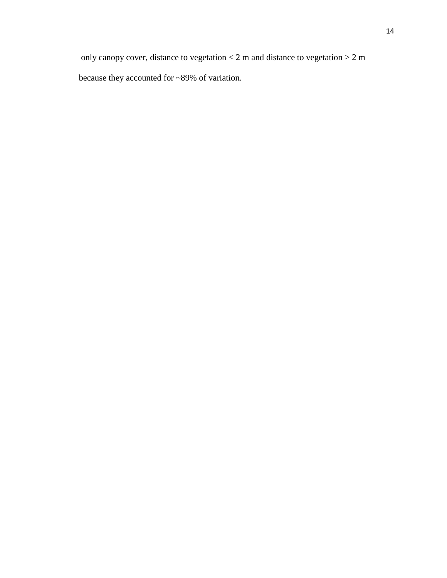only canopy cover, distance to vegetation  $< 2$  m and distance to vegetation  $> 2$  m because they accounted for ~89% of variation.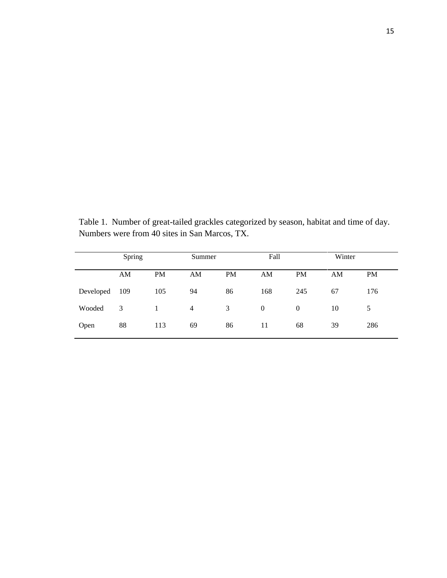Table 1. Number of great-tailed grackles categorized by season, habitat and time of day. Numbers were from 40 sites in San Marcos, TX.

|           | Spring |           | Summer         |           | Fall         |                | Winter |           |
|-----------|--------|-----------|----------------|-----------|--------------|----------------|--------|-----------|
|           | AM     | <b>PM</b> | AM             | <b>PM</b> | AM           | <b>PM</b>      | AM     | <b>PM</b> |
| Developed | 109    | 105       | 94             | 86        | 168          | 245            | 67     | 176       |
| Wooded    | 3      | 1         | $\overline{4}$ | 3         | $\mathbf{0}$ | $\overline{0}$ | 10     | 5         |
| Open      | 88     | 113       | 69             | 86        | 11           | 68             | 39     | 286       |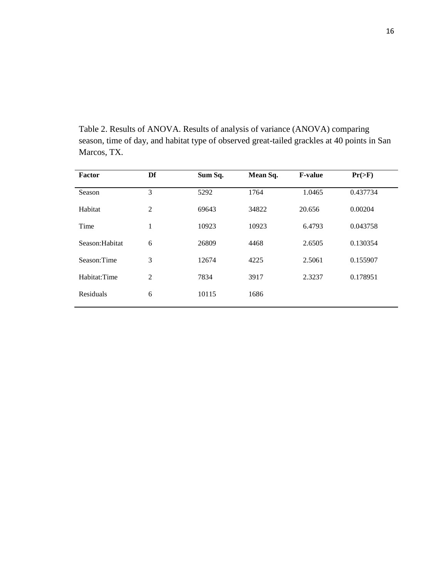Table 2. Results of ANOVA. Results of analysis of variance (ANOVA) comparing season, time of day, and habitat type of observed great-tailed grackles at 40 points in San Marcos, TX.

| Factor          | Df             | Sum Sq. | Mean Sq. | <b>F-value</b> | $Pr(>\ F)$ |
|-----------------|----------------|---------|----------|----------------|------------|
| Season          | 3              | 5292    | 1764     | 1.0465         | 0.437734   |
| Habitat         | $\overline{2}$ | 69643   | 34822    | 20.656         | 0.00204    |
| Time            | 1              | 10923   | 10923    | 6.4793         | 0.043758   |
| Season: Habitat | 6              | 26809   | 4468     | 2.6505         | 0.130354   |
| Season:Time     | 3              | 12674   | 4225     | 2.5061         | 0.155907   |
| Habitat:Time    | $\overline{2}$ | 7834    | 3917     | 2.3237         | 0.178951   |
| Residuals       | 6              | 10115   | 1686     |                |            |
|                 |                |         |          |                |            |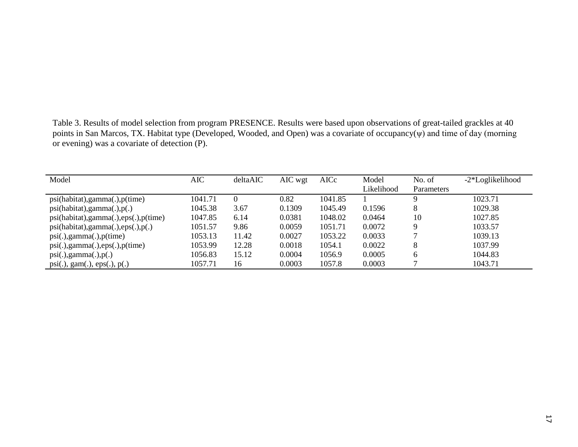Table 3. Results of model selection from program PRESENCE. Results were based upon observations of great-tailed grackles at 40 points in San Marcos, TX. Habitat type (Developed, Wooded, and Open) was a covariate of occupancy(ψ) and time of day (morning or evening) was a covariate of detection (P).

| Model                                        | AIC     | deltaAIC | AIC wgt | AICc    | Model      | No. of     | -2*Loglikelihood |
|----------------------------------------------|---------|----------|---------|---------|------------|------------|------------------|
|                                              |         |          |         |         | Likelihood | Parameters |                  |
| psi(habitat), gamma(.), p(time)              | 1041.71 |          | 0.82    | 1041.85 |            | Q          | 1023.71          |
| psi(habitat), gamma(.), p(.)                 | 1045.38 | 3.67     | 0.1309  | 1045.49 | 0.1596     | 8          | 1029.38          |
| psi(habitat), gamma(.), eps(.), p(time)      | 1047.85 | 6.14     | 0.0381  | 1048.02 | 0.0464     | 10         | 1027.85          |
| psi(habitat), gamma(.),eps(.), p(.)          | 1051.57 | 9.86     | 0.0059  | 1051.71 | 0.0072     | 9          | 1033.57          |
| $psi(.)$ , gamma $(.)$ , $p$ (time)          | 1053.13 | 11.42    | 0.0027  | 1053.22 | 0.0033     |            | 1039.13          |
| $psi(.)$ , gamma $(.)$ , eps $(.)$ , p(time) | 1053.99 | 12.28    | 0.0018  | 1054.1  | 0.0022     | 8          | 1037.99          |
| $psi(.)$ , gamma $(.)$ , $p(.)$              | 1056.83 | 15.12    | 0.0004  | 1056.9  | 0.0005     | 6          | 1044.83          |
| $psi(.)$ , gam $(.)$ , eps $(.)$ , $p(.)$    | 1057.71 | 16       | 0.0003  | 1057.8  | 0.0003     |            | 1043.71          |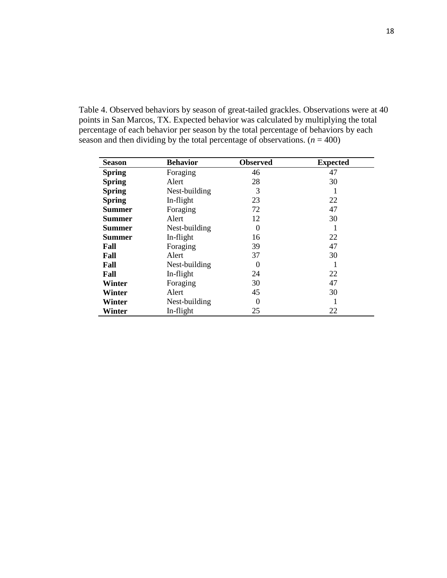Table 4. Observed behaviors by season of great-tailed grackles. Observations were at 40 points in San Marcos, TX. Expected behavior was calculated by multiplying the total percentage of each behavior per season by the total percentage of behaviors by each season and then dividing by the total percentage of observations.  $(n = 400)$ 

| <b>Season</b> | <b>Behavior</b> | <b>Observed</b> | <b>Expected</b> |
|---------------|-----------------|-----------------|-----------------|
| <b>Spring</b> | Foraging        | 46              | 47              |
| <b>Spring</b> | Alert           | 28              | 30              |
| <b>Spring</b> | Nest-building   | 3               |                 |
| <b>Spring</b> | In-flight       | 23              | 22              |
| <b>Summer</b> | Foraging        | 72              | 47              |
| <b>Summer</b> | Alert           | 12              | 30              |
| <b>Summer</b> | Nest-building   | $\theta$        |                 |
| <b>Summer</b> | In-flight       | 16              | 22              |
| Fall          | Foraging        | 39              | 47              |
| Fall          | Alert           | 37              | 30              |
| Fall          | Nest-building   | $\theta$        | 1               |
| Fall          | In-flight       | 24              | 22              |
| Winter        | Foraging        | 30              | 47              |
| Winter        | Alert           | 45              | 30              |
| Winter        | Nest-building   | 0               |                 |
| Winter        | In-flight       | 25              | 22              |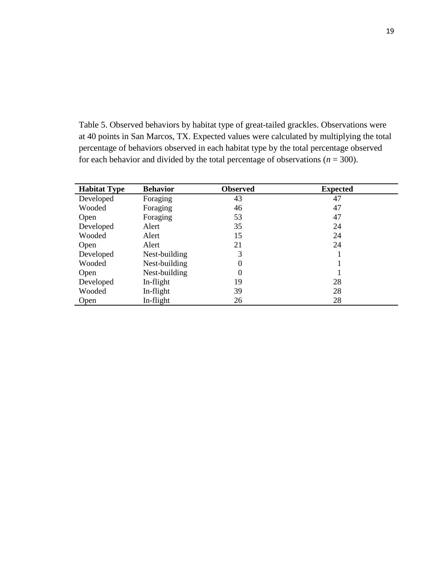Table 5. Observed behaviors by habitat type of great-tailed grackles. Observations were at 40 points in San Marcos, TX. Expected values were calculated by multiplying the total percentage of behaviors observed in each habitat type by the total percentage observed for each behavior and divided by the total percentage of observations ( $n = 300$ ).

| <b>Habitat Type</b> | <b>Behavior</b> | <b>Observed</b> | <b>Expected</b> |
|---------------------|-----------------|-----------------|-----------------|
| Developed           | Foraging        | 43              | 47              |
| Wooded              | Foraging        | 46              | 47              |
| Open                | Foraging        | 53              | 47              |
| Developed           | Alert           | 35              | 24              |
| Wooded              | Alert           | 15              | 24              |
| Open                | Alert           | 21              | 24              |
| Developed           | Nest-building   | 3               |                 |
| Wooded              | Nest-building   | 0               |                 |
| Open                | Nest-building   | 0               |                 |
| Developed           | In-flight       | 19              | 28              |
| Wooded              | In-flight       | 39              | 28              |
| Open                | In-flight       | 26              | 28              |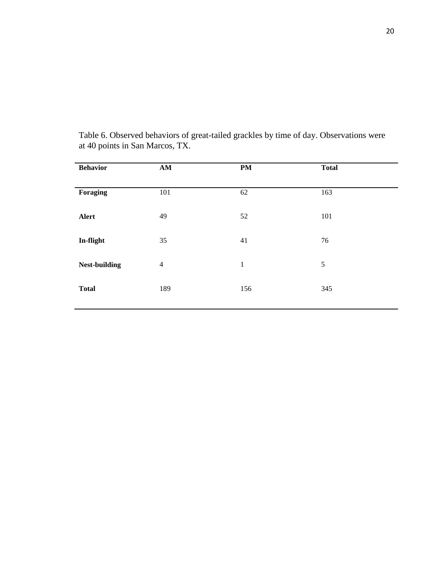| <b>Behavior</b>      | AM             | <b>PM</b>   | <b>Total</b> |  |
|----------------------|----------------|-------------|--------------|--|
| Foraging             | 101            | 62          | 163          |  |
| Alert                | 49             | 52          | 101          |  |
| In-flight            | 35             | 41          | 76           |  |
| <b>Nest-building</b> | $\overline{4}$ | $\mathbf 1$ | 5            |  |
| <b>Total</b>         | 189            | 156         | 345          |  |
|                      |                |             |              |  |

Table 6. Observed behaviors of great-tailed grackles by time of day. Observations were at 40 points in San Marcos, TX.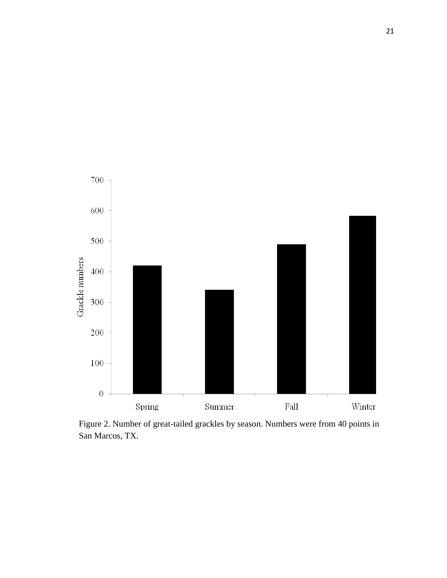

Figure 2. Number of great-tailed grackles by season. Numbers were from 40 points in San Marcos, TX.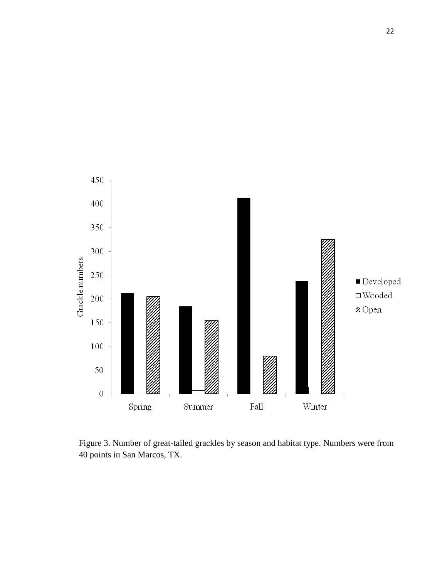

Figure 3. Number of great-tailed grackles by season and habitat type. Numbers were from 40 points in San Marcos, TX.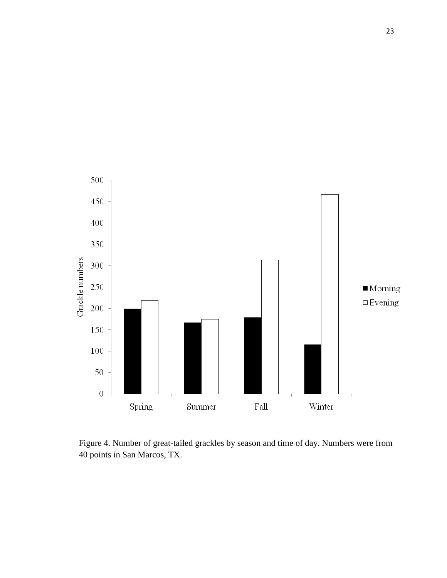

Figure 4. Number of great-tailed grackles by season and time of day. Numbers were from 40 points in San Marcos, TX.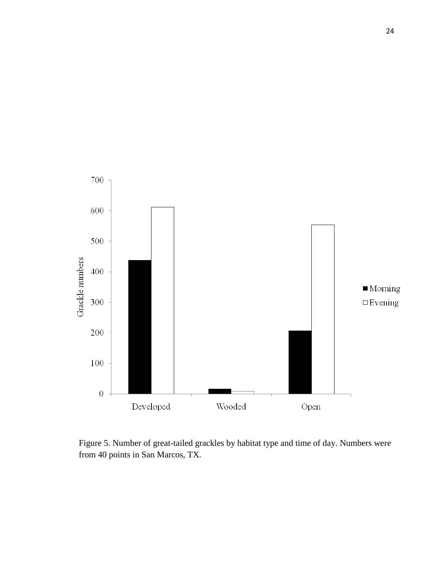

Figure 5. Number of great-tailed grackles by habitat type and time of day. Numbers were from 40 points in San Marcos, TX.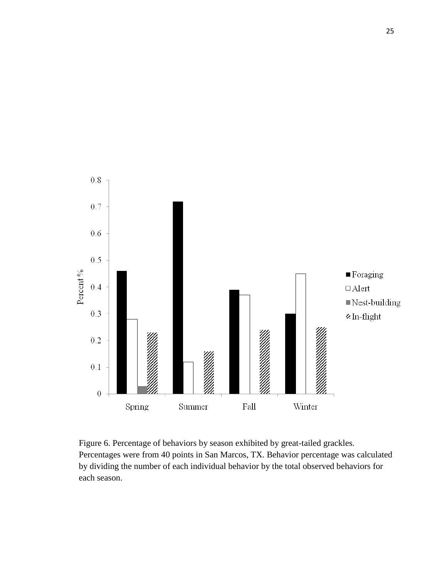

Figure 6. Percentage of behaviors by season exhibited by great-tailed grackles. Percentages were from 40 points in San Marcos, TX. Behavior percentage was calculated by dividing the number of each individual behavior by the total observed behaviors for each season.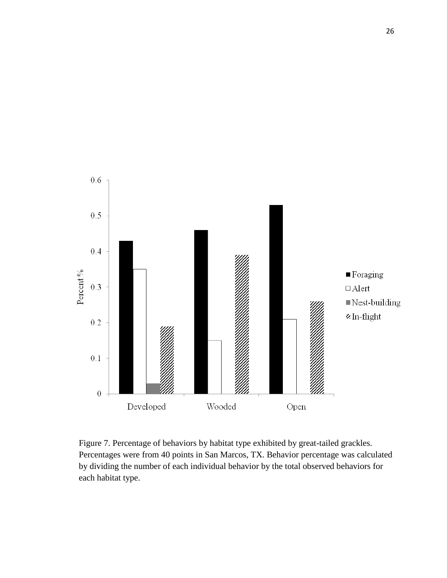

Figure 7. Percentage of behaviors by habitat type exhibited by great-tailed grackles. Percentages were from 40 points in San Marcos, TX. Behavior percentage was calculated by dividing the number of each individual behavior by the total observed behaviors for each habitat type.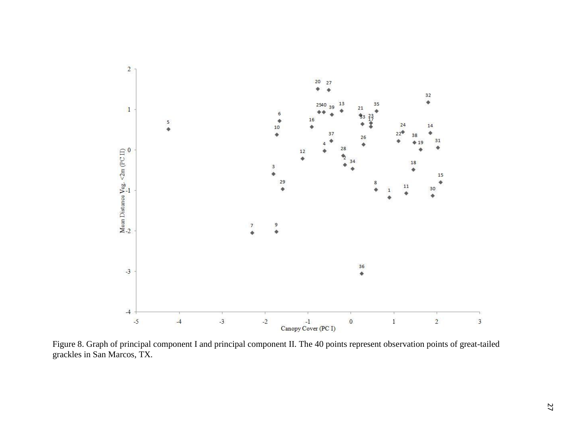

Figure 8. Graph of principal component I and principal component II. The 40 points represent observation points of great-tailed grackles in San Marcos, TX.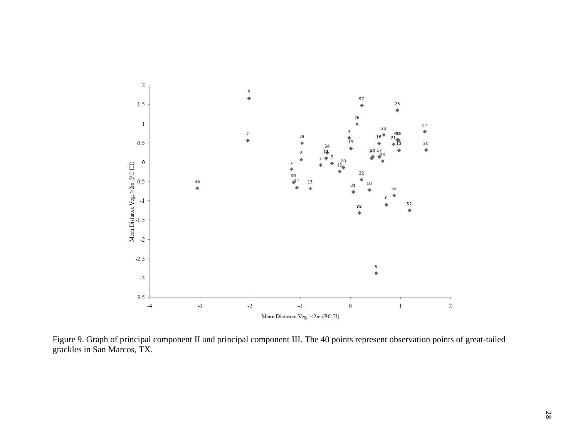

Figure 9. Graph of principal component II and principal component III. The 40 points represent observation points of great-tailed grackles in San Marcos, TX.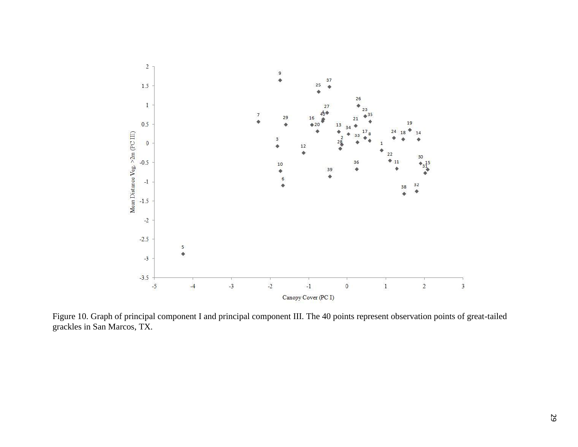

Figure 10. Graph of principal component I and principal component III. The 40 points represent observation points of great-tailed grackles in San Marcos, TX.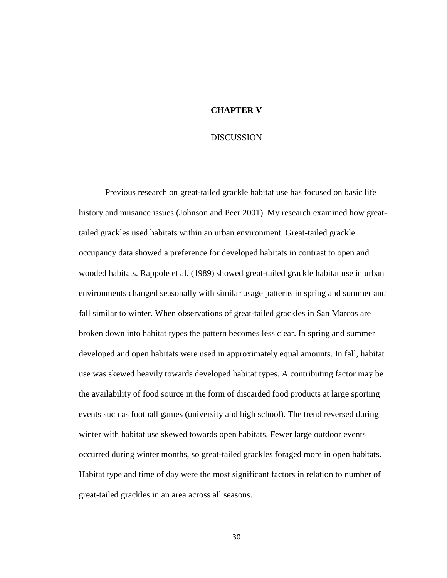#### **CHAPTER V**

#### **DISCUSSION**

Previous research on great-tailed grackle habitat use has focused on basic life history and nuisance issues (Johnson and Peer 2001). My research examined how greattailed grackles used habitats within an urban environment. Great-tailed grackle occupancy data showed a preference for developed habitats in contrast to open and wooded habitats. Rappole et al. (1989) showed great-tailed grackle habitat use in urban environments changed seasonally with similar usage patterns in spring and summer and fall similar to winter. When observations of great-tailed grackles in San Marcos are broken down into habitat types the pattern becomes less clear. In spring and summer developed and open habitats were used in approximately equal amounts. In fall, habitat use was skewed heavily towards developed habitat types. A contributing factor may be the availability of food source in the form of discarded food products at large sporting events such as football games (university and high school). The trend reversed during winter with habitat use skewed towards open habitats. Fewer large outdoor events occurred during winter months, so great-tailed grackles foraged more in open habitats. Habitat type and time of day were the most significant factors in relation to number of great-tailed grackles in an area across all seasons.

30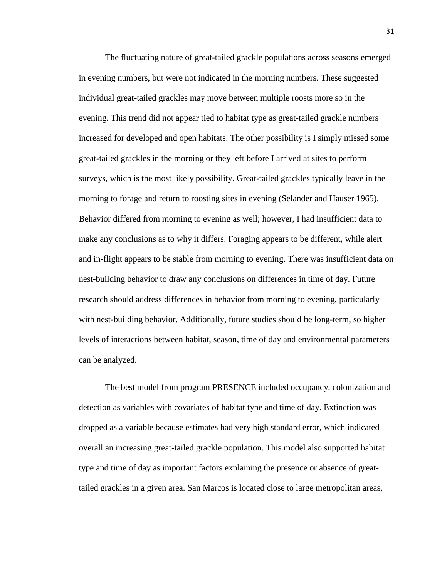The fluctuating nature of great-tailed grackle populations across seasons emerged in evening numbers, but were not indicated in the morning numbers. These suggested individual great-tailed grackles may move between multiple roosts more so in the evening. This trend did not appear tied to habitat type as great-tailed grackle numbers increased for developed and open habitats. The other possibility is I simply missed some great-tailed grackles in the morning or they left before I arrived at sites to perform surveys, which is the most likely possibility. Great-tailed grackles typically leave in the morning to forage and return to roosting sites in evening (Selander and Hauser 1965). Behavior differed from morning to evening as well; however, I had insufficient data to make any conclusions as to why it differs. Foraging appears to be different, while alert and in-flight appears to be stable from morning to evening. There was insufficient data on nest-building behavior to draw any conclusions on differences in time of day. Future research should address differences in behavior from morning to evening, particularly with nest-building behavior. Additionally, future studies should be long-term, so higher levels of interactions between habitat, season, time of day and environmental parameters can be analyzed.

The best model from program PRESENCE included occupancy, colonization and detection as variables with covariates of habitat type and time of day. Extinction was dropped as a variable because estimates had very high standard error, which indicated overall an increasing great-tailed grackle population. This model also supported habitat type and time of day as important factors explaining the presence or absence of greattailed grackles in a given area. San Marcos is located close to large metropolitan areas,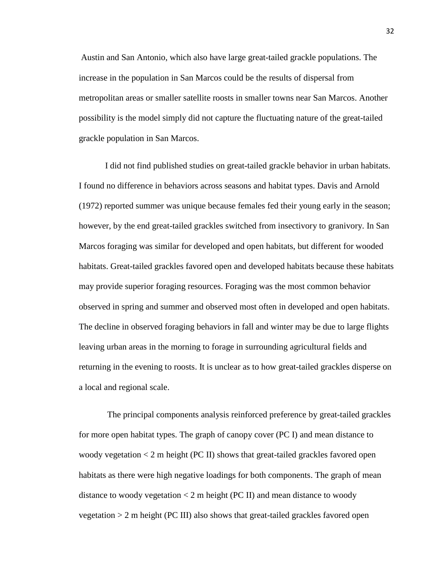Austin and San Antonio, which also have large great-tailed grackle populations. The increase in the population in San Marcos could be the results of dispersal from metropolitan areas or smaller satellite roosts in smaller towns near San Marcos. Another possibility is the model simply did not capture the fluctuating nature of the great-tailed grackle population in San Marcos.

I did not find published studies on great-tailed grackle behavior in urban habitats. I found no difference in behaviors across seasons and habitat types. Davis and Arnold (1972) reported summer was unique because females fed their young early in the season; however, by the end great-tailed grackles switched from insectivory to granivory. In San Marcos foraging was similar for developed and open habitats, but different for wooded habitats. Great-tailed grackles favored open and developed habitats because these habitats may provide superior foraging resources. Foraging was the most common behavior observed in spring and summer and observed most often in developed and open habitats. The decline in observed foraging behaviors in fall and winter may be due to large flights leaving urban areas in the morning to forage in surrounding agricultural fields and returning in the evening to roosts. It is unclear as to how great-tailed grackles disperse on a local and regional scale.

The principal components analysis reinforced preference by great-tailed grackles for more open habitat types. The graph of canopy cover (PC I) and mean distance to woody vegetation  $\lt 2$  m height (PC II) shows that great-tailed grackles favored open habitats as there were high negative loadings for both components. The graph of mean distance to woody vegetation  $\lt 2$  m height (PC II) and mean distance to woody vegetation > 2 m height (PC III) also shows that great-tailed grackles favored open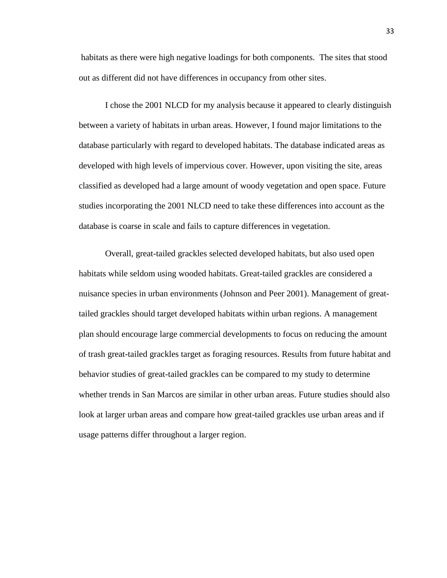habitats as there were high negative loadings for both components. The sites that stood out as different did not have differences in occupancy from other sites.

I chose the 2001 NLCD for my analysis because it appeared to clearly distinguish between a variety of habitats in urban areas. However, I found major limitations to the database particularly with regard to developed habitats. The database indicated areas as developed with high levels of impervious cover. However, upon visiting the site, areas classified as developed had a large amount of woody vegetation and open space. Future studies incorporating the 2001 NLCD need to take these differences into account as the database is coarse in scale and fails to capture differences in vegetation.

Overall, great-tailed grackles selected developed habitats, but also used open habitats while seldom using wooded habitats. Great-tailed grackles are considered a nuisance species in urban environments (Johnson and Peer 2001). Management of greattailed grackles should target developed habitats within urban regions. A management plan should encourage large commercial developments to focus on reducing the amount of trash great-tailed grackles target as foraging resources. Results from future habitat and behavior studies of great-tailed grackles can be compared to my study to determine whether trends in San Marcos are similar in other urban areas. Future studies should also look at larger urban areas and compare how great-tailed grackles use urban areas and if usage patterns differ throughout a larger region.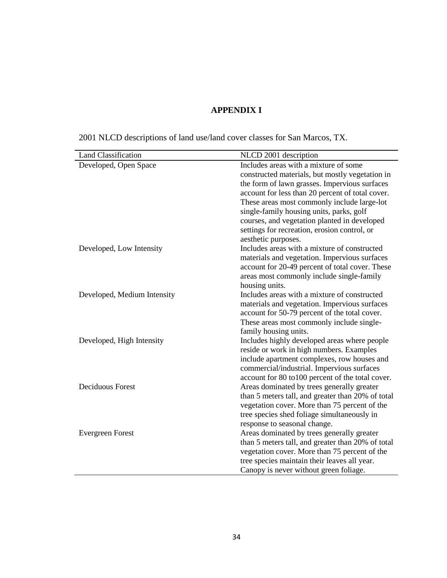## **APPENDIX I**

| <b>Land Classification</b>  | NLCD 2001 description                                                                           |
|-----------------------------|-------------------------------------------------------------------------------------------------|
| Developed, Open Space       | Includes areas with a mixture of some                                                           |
|                             | constructed materials, but mostly vegetation in                                                 |
|                             | the form of lawn grasses. Impervious surfaces                                                   |
|                             | account for less than 20 percent of total cover.                                                |
|                             | These areas most commonly include large-lot                                                     |
|                             | single-family housing units, parks, golf                                                        |
|                             | courses, and vegetation planted in developed                                                    |
|                             | settings for recreation, erosion control, or                                                    |
|                             | aesthetic purposes.                                                                             |
| Developed, Low Intensity    | Includes areas with a mixture of constructed                                                    |
|                             | materials and vegetation. Impervious surfaces                                                   |
|                             | account for 20-49 percent of total cover. These                                                 |
|                             | areas most commonly include single-family                                                       |
|                             | housing units.                                                                                  |
| Developed, Medium Intensity | Includes areas with a mixture of constructed                                                    |
|                             | materials and vegetation. Impervious surfaces                                                   |
|                             | account for 50-79 percent of the total cover.                                                   |
|                             | These areas most commonly include single-                                                       |
|                             | family housing units.                                                                           |
| Developed, High Intensity   | Includes highly developed areas where people                                                    |
|                             | reside or work in high numbers. Examples                                                        |
|                             | include apartment complexes, row houses and                                                     |
|                             | commercial/industrial. Impervious surfaces<br>account for 80 to 100 percent of the total cover. |
| <b>Deciduous Forest</b>     | Areas dominated by trees generally greater                                                      |
|                             | than 5 meters tall, and greater than 20% of total                                               |
|                             | vegetation cover. More than 75 percent of the                                                   |
|                             | tree species shed foliage simultaneously in                                                     |
|                             | response to seasonal change.                                                                    |
| <b>Evergreen Forest</b>     | Areas dominated by trees generally greater                                                      |
|                             | than 5 meters tall, and greater than 20% of total                                               |
|                             | vegetation cover. More than 75 percent of the                                                   |
|                             | tree species maintain their leaves all year.                                                    |
|                             | Canopy is never without green foliage.                                                          |
|                             |                                                                                                 |

2001 NLCD descriptions of land use/land cover classes for San Marcos, TX.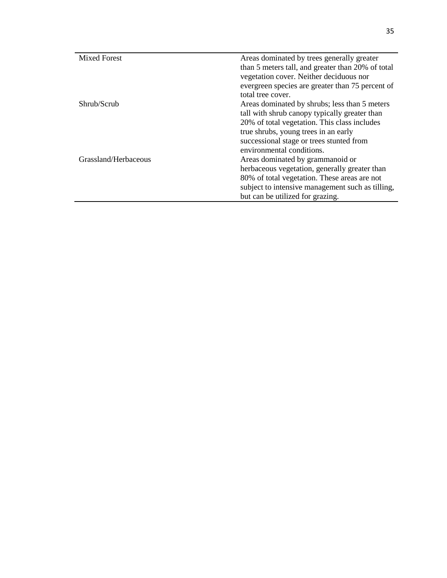| <b>Mixed Forest</b>  | Areas dominated by trees generally greater        |  |  |  |
|----------------------|---------------------------------------------------|--|--|--|
|                      | than 5 meters tall, and greater than 20% of total |  |  |  |
|                      | vegetation cover. Neither deciduous nor           |  |  |  |
|                      | evergreen species are greater than 75 percent of  |  |  |  |
|                      | total tree cover.                                 |  |  |  |
| Shrub/Scrub          | Areas dominated by shrubs; less than 5 meters     |  |  |  |
|                      | tall with shrub canopy typically greater than     |  |  |  |
|                      | 20% of total vegetation. This class includes      |  |  |  |
|                      | true shrubs, young trees in an early              |  |  |  |
|                      | successional stage or trees stunted from          |  |  |  |
|                      | environmental conditions.                         |  |  |  |
| Grassland/Herbaceous | Areas dominated by grammanoid or                  |  |  |  |
|                      | herbaceous vegetation, generally greater than     |  |  |  |
|                      | 80% of total vegetation. These areas are not      |  |  |  |
|                      | subject to intensive management such as tilling,  |  |  |  |
|                      | but can be utilized for grazing.                  |  |  |  |
|                      |                                                   |  |  |  |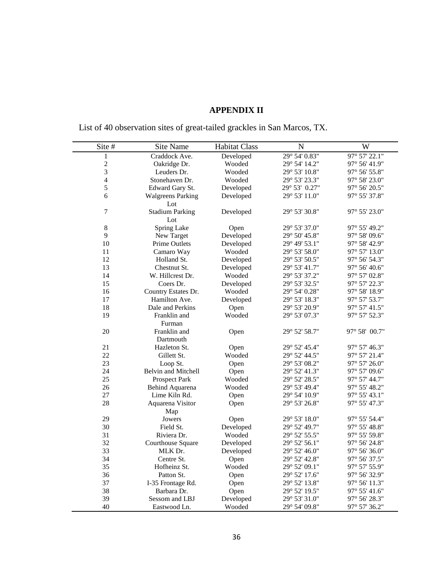## **APPENDIX II**

List of 40 observation sites of great-tailed grackles in San Marcos, TX.

| Site #                  | Site Name                | <b>Habitat Class</b> | $\mathbf N$   | W                               |
|-------------------------|--------------------------|----------------------|---------------|---------------------------------|
| $\mathbf{1}$            | Craddock Ave.            | Developed            | 29° 54' 0.83" | 97° 57' 22.1"                   |
| $\overline{\mathbf{c}}$ | Oakridge Dr.             | Wooded               | 29° 54' 14.2" | 97° 56' 41.9"                   |
| 3                       | Leuders Dr.              | Wooded               | 29° 53' 10.8" | 97° 56' 55.8"                   |
| $\overline{\mathbf{4}}$ | Stonehaven Dr.           | Wooded               | 29° 53' 23.3" | 97° 58' 23.0"                   |
| 5                       | Edward Gary St.          | Developed            | 29° 53' 0.27" | 97° 56' 20.5"                   |
| 6                       | <b>Walgreens Parking</b> | Developed            | 29° 53' 11.0" | 97° 55' 37.8"                   |
|                         | Lot                      |                      |               |                                 |
| $\boldsymbol{7}$        | <b>Stadium Parking</b>   | Developed            | 29° 53' 30.8" | 97° 55' 23.0"                   |
|                         | Lot                      |                      |               |                                 |
| $\,$ 8 $\,$             | Spring Lake              | Open                 | 29° 53' 37.0" | 97° 55' 49.2"                   |
| 9                       | New Target               | Developed            | 29° 50' 45.8" | 97° 58' 09.6"                   |
| 10                      | Prime Outlets            | Developed            | 29° 49' 53.1" | 97° 58' 42.9"                   |
| 11                      | Camaro Way               | Wooded               | 29° 53' 58.0" | 97° 57' 13.0"                   |
| 12                      | Holland St.              | Developed            | 29° 53' 50.5" | 97° 56' 54.3"                   |
| 13                      | Chestnut St.             | Developed            | 29° 53' 41.7" | 97° 56' 40.6"                   |
| 14                      | W. Hillcrest Dr.         | Wooded               | 29° 53' 37.2" | 97° 57' 02.8"                   |
| 15                      | Coers Dr.                | Developed            | 29° 53' 32.5" | $97^{\circ}$ 57' 22.3"          |
| 16                      | Country Estates Dr.      | Wooded               | 29° 54' 0.28" | 97° 58' 18.9"                   |
| 17                      | Hamilton Ave.            | Developed            | 29° 53' 18.3" | 97° 57' 53.7"                   |
| 18                      | Dale and Perkins         | Open                 | 29° 53' 20.9" | $97^{\circ}$ 57' $41.5^{\circ}$ |
| 19                      | Franklin and             | Wooded               | 29° 53' 07.3" | 97° 57' 52.3"                   |
|                         | Furman                   |                      |               |                                 |
| 20                      | Franklin and             | Open                 | 29° 52' 58.7" | 97° 58' 00.7"                   |
|                         | Dartmouth                |                      |               |                                 |
| 21                      | Hazleton St.             | Open                 | 29° 52' 45.4" | 97° 57' 46.3"                   |
| 22                      | Gillett St.              | Wooded               | 29° 52' 44.5" | 97° 57' 21.4"                   |
| 23                      | Loop St.                 | Open                 | 29° 53' 08.2" | 97° 57' 26.0"                   |
| 24                      | Belvin and Mitchell      | Open                 | 29° 52' 41.3" | 97° 57' 09.6"                   |
| 25                      | <b>Prospect Park</b>     | Wooded               | 29° 52' 28.5" | 97° 57' 44.7"                   |
| 26                      | Behind Aquarena          | Wooded               | 29° 53' 49.4" | 97° 55' 48.2"                   |
| 27                      | Lime Kiln Rd.            | Open                 | 29° 54' 10.9" | $97^{\circ} 55' 43.1"$          |
| 28                      | Aquarena Visitor         | Open                 | 29° 53' 26.8" | 97° 55' 47.3"                   |
|                         | Map                      |                      |               |                                 |
| 29                      | Jowers                   | Open                 | 29° 53' 18.0" | 97° 55' 54.4"                   |
| 30                      | Field St.                | Developed            | 29° 52' 49.7" | 97° 55' 48.8"                   |
| 31                      | Riviera Dr.              | Wooded               | 29° 52' 55.5" | 97° 55' 59.8"                   |
| 32                      | Courthouse Square        | Developed            | 29° 52' 56.1" | 97° 56' 24.8"                   |
| 33                      | MLK Dr.                  | Developed            | 29° 52' 46.0" | 97° 56' 36.0"                   |
| 34                      | Centre St.               | Open                 | 29° 52' 42.8" | 97° 56' 37.5"                   |
| 35                      | Hofheinz St.             | Wooded               | 29° 52' 09.1" | 97° 57' 55.9"                   |
| 36                      | Patton St.               | Open                 | 29° 52' 17.6" | 97° 56' 32.9"                   |
| 37                      | I-35 Frontage Rd.        | Open                 | 29° 52' 13.8" | 97° 56' 11.3"                   |
| 38                      | Barbara Dr.              | Open                 | 29° 52' 19.5" | 97° 55' 41.6"                   |
| 39                      | Sessom and LBJ           | Developed            | 29° 53' 31.0" | 97° 56' 28.3"                   |
| 40                      | Eastwood Ln.             | Wooded               | 29° 54' 09.8" | 97° 57' 36.2"                   |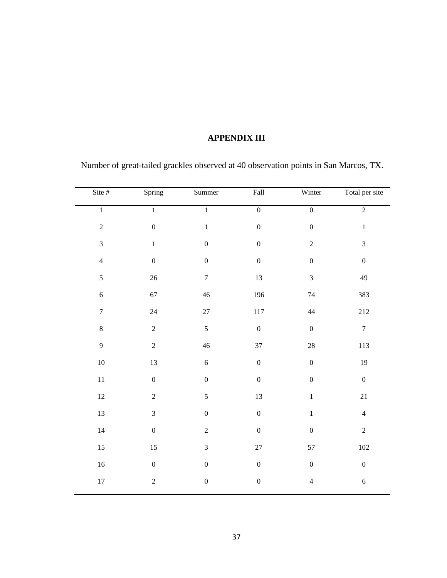### **APPENDIX III**

| Site #           | Spring           | Summer           | Fall             | Winter           | Total per site          |
|------------------|------------------|------------------|------------------|------------------|-------------------------|
| $\overline{1}$   | $\overline{1}$   | $\overline{1}$   | $\overline{0}$   | $\overline{0}$   | $\overline{2}$          |
| $\overline{c}$   | $\boldsymbol{0}$ | $\,1\,$          | $\boldsymbol{0}$ | $\boldsymbol{0}$ | $\,1\,$                 |
| $\overline{3}$   | $\,1$            | $\boldsymbol{0}$ | $\boldsymbol{0}$ | $\sqrt{2}$       | $\mathfrak{Z}$          |
| $\overline{4}$   | $\boldsymbol{0}$ | $\boldsymbol{0}$ | $\boldsymbol{0}$ | $\boldsymbol{0}$ | $\boldsymbol{0}$        |
| 5                | $26\,$           | $\boldsymbol{7}$ | 13               | $\mathfrak{Z}$   | 49                      |
| $\sqrt{6}$       | 67               | $46\,$           | 196              | $74\,$           | 383                     |
| $\boldsymbol{7}$ | 24               | $27\,$           | $117\,$          | 44               | 212                     |
| $\,8$            | $\sqrt{2}$       | 5                | $\boldsymbol{0}$ | $\boldsymbol{0}$ | $\boldsymbol{7}$        |
| $\overline{9}$   | $\overline{c}$   | $46\,$           | 37               | $28\,$           | 113                     |
| $10\,$           | 13               | $\overline{6}$   | $\boldsymbol{0}$ | $\boldsymbol{0}$ | $19\,$                  |
| 11               | $\boldsymbol{0}$ | $\boldsymbol{0}$ | $\boldsymbol{0}$ | $\boldsymbol{0}$ | $\boldsymbol{0}$        |
| $12\,$           | $\sqrt{2}$       | 5                | $13\,$           | $\,1$            | $21\,$                  |
| 13               | $\mathfrak 3$    | $\boldsymbol{0}$ | $\boldsymbol{0}$ | $\,1$            | $\overline{\mathbf{4}}$ |
| $14\,$           | $\boldsymbol{0}$ | $\sqrt{2}$       | $\boldsymbol{0}$ | $\boldsymbol{0}$ | $\overline{c}$          |
| 15               | 15               | $\mathfrak{Z}$   | $27\,$           | 57               | $102\,$                 |
| $16\,$           | $\boldsymbol{0}$ | $\boldsymbol{0}$ | $\boldsymbol{0}$ | $\boldsymbol{0}$ | $\boldsymbol{0}$        |
| $17\,$           | $\boldsymbol{2}$ | $\boldsymbol{0}$ | $\boldsymbol{0}$ | $\overline{4}$   | $\sqrt{6}$              |

Number of great-tailed grackles observed at 40 observation points in San Marcos, TX.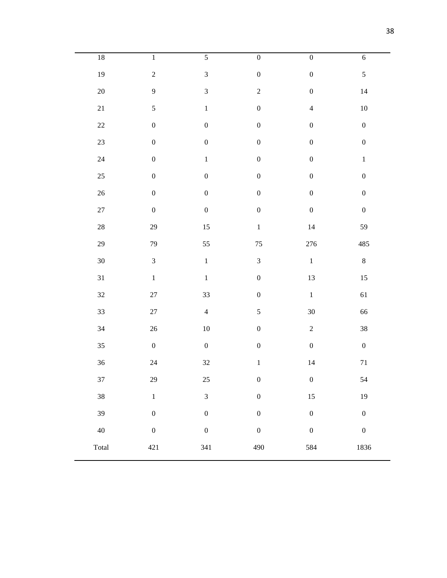| $18\,$ | $\overline{1}$   | $\overline{5}$   | $\overline{0}$   | $\overline{0}$   | $\sqrt{6}$       |
|--------|------------------|------------------|------------------|------------------|------------------|
| 19     | $\overline{c}$   | $\overline{3}$   | $\boldsymbol{0}$ | $\boldsymbol{0}$ | $\sqrt{5}$       |
| $20\,$ | $\boldsymbol{9}$ | $\mathfrak{Z}$   | $\overline{c}$   | $\boldsymbol{0}$ | $14\,$           |
| $21\,$ | $\sqrt{5}$       | $\,1$            | $\boldsymbol{0}$ | $\overline{4}$   | $10\,$           |
| $22\,$ | $\boldsymbol{0}$ | $\boldsymbol{0}$ | $\boldsymbol{0}$ | $\boldsymbol{0}$ | $\boldsymbol{0}$ |
| $23\,$ | $\boldsymbol{0}$ | $\boldsymbol{0}$ | $\boldsymbol{0}$ | $\boldsymbol{0}$ | $\boldsymbol{0}$ |
| $24\,$ | $\boldsymbol{0}$ | $\,1$            | $\boldsymbol{0}$ | $\boldsymbol{0}$ | $\,1\,$          |
| $25\,$ | $\boldsymbol{0}$ | $\boldsymbol{0}$ | $\boldsymbol{0}$ | $\boldsymbol{0}$ | $\boldsymbol{0}$ |
| $26\,$ | $\boldsymbol{0}$ | $\boldsymbol{0}$ | $\boldsymbol{0}$ | $\boldsymbol{0}$ | $\boldsymbol{0}$ |
| $27\,$ | $\boldsymbol{0}$ | $\boldsymbol{0}$ | $\boldsymbol{0}$ | $\boldsymbol{0}$ | $\boldsymbol{0}$ |
| $28\,$ | 29               | 15               | $\,1$            | $14\,$           | 59               |
| 29     | 79               | 55               | $75\,$           | 276              | 485              |
| $30\,$ | $\mathfrak{Z}$   | $\,1$            | $\mathfrak{Z}$   | $\,1\,$          | $\,8\,$          |
| $31\,$ | $\,1$            | $\,1\,$          | $\boldsymbol{0}$ | 13               | $15\,$           |
| $32\,$ | $27\,$           | 33               | $\boldsymbol{0}$ | $\,1\,$          | 61               |
| 33     | $27\,$           | $\overline{4}$   | 5                | 30               | 66               |
| $34\,$ | $26\,$           | $10\,$           | $\boldsymbol{0}$ | $\sqrt{2}$       | $38\,$           |
| $35\,$ | $\boldsymbol{0}$ | $\boldsymbol{0}$ | $\boldsymbol{0}$ | $\boldsymbol{0}$ | $\boldsymbol{0}$ |
| $36\,$ | $24\,$           | $32\,$           | $\,1$            | $14\,$           | $71\,$           |
| 37     | 29               | $25\,$           | $\boldsymbol{0}$ | $\boldsymbol{0}$ | 54               |
| 38     | $\bar{1}$        | $\overline{3}$   | $\overline{0}$   | $15\,$           | 19               |
| 39     | $\boldsymbol{0}$ | $\boldsymbol{0}$ | $\overline{0}$   | $\boldsymbol{0}$ | $\boldsymbol{0}$ |
| 40     | $\boldsymbol{0}$ | $\boldsymbol{0}$ | $\boldsymbol{0}$ | $\boldsymbol{0}$ | $\boldsymbol{0}$ |
| Total  | $421\,$          | 341              | 490              | 584              | 1836             |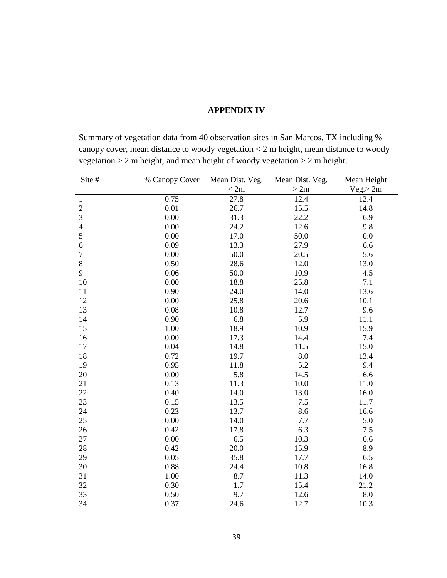#### **APPENDIX IV**

Summary of vegetation data from 40 observation sites in San Marcos, TX including % canopy cover, mean distance to woody vegetation < 2 m height, mean distance to woody vegetation > 2 m height, and mean height of woody vegetation > 2 m height.

| Site #         | % Canopy Cover | Mean Dist. Veg. | Mean Dist. Veg. | Mean Height |
|----------------|----------------|-----------------|-----------------|-------------|
|                |                | < 2m            | >2m             | Veg. > 2m   |
| $\mathbf{1}$   | 0.75           | 27.8            | 12.4            | 12.4        |
| $\overline{c}$ | 0.01           | 26.7            | 15.5            | 14.8        |
| 3              | 0.00           | 31.3            | 22.2            | 6.9         |
| $\overline{4}$ | 0.00           | 24.2            | 12.6            | 9.8         |
| 5              | 0.00           | 17.0            | 50.0            | 0.0         |
| 6              | 0.09           | 13.3            | 27.9            | 6.6         |
| $\tau$         | 0.00           | 50.0            | 20.5            | 5.6         |
| 8              | 0.50           | 28.6            | 12.0            | 13.0        |
| 9              | 0.06           | 50.0            | 10.9            | 4.5         |
| 10             | 0.00           | 18.8            | 25.8            | 7.1         |
| 11             | 0.90           | 24.0            | 14.0            | 13.6        |
| 12             | 0.00           | 25.8            | 20.6            | 10.1        |
| 13             | 0.08           | 10.8            | 12.7            | 9.6         |
| 14             | 0.90           | 6.8             | 5.9             | 11.1        |
| 15             | 1.00           | 18.9            | 10.9            | 15.9        |
| 16             | 0.00           | 17.3            | 14.4            | 7.4         |
| 17             | 0.04           | 14.8            | 11.5            | 15.0        |
| 18             | 0.72           | 19.7            | 8.0             | 13.4        |
| 19             | 0.95           | 11.8            | 5.2             | 9.4         |
| 20             | 0.00           | 5.8             | 14.5            | 6.6         |
| 21             | 0.13           | 11.3            | 10.0            | 11.0        |
| 22             | 0.40           | 14.0            | 13.0            | 16.0        |
| 23             | 0.15           | 13.5            | 7.5             | 11.7        |
| 24             | 0.23           | 13.7            | 8.6             | 16.6        |
| 25             | 0.00           | 14.0            | 7.7             | 5.0         |
| 26             | 0.42           | 17.8            | 6.3             | 7.5         |
| 27             | 0.00           | 6.5             | 10.3            | 6.6         |
| 28             | 0.42           | 20.0            | 15.9            | 8.9         |
| 29             | 0.05           | 35.8            | 17.7            | 6.5         |
| 30             | 0.88           | 24.4            | 10.8            | 16.8        |
| 31             | 1.00           | 8.7             | 11.3            | 14.0        |
| 32             | 0.30           | 1.7             | 15.4            | 21.2        |
| 33             | 0.50           | 9.7             | 12.6            | 8.0         |
| 34             | 0.37           | 24.6            | 12.7            | 10.3        |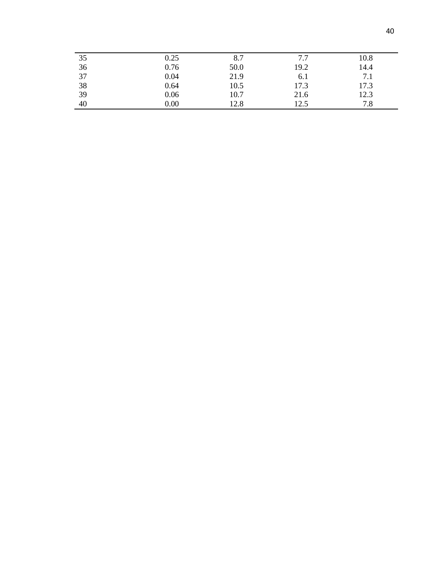| 35 | 0.25 | 8.7  | 77   | 10.8 |
|----|------|------|------|------|
| 36 | 0.76 | 50.0 | 19.2 | 14.4 |
| 37 | 0.04 | 21.9 | 6.1  | 7.1  |
| 38 | 0.64 | 10.5 | 17.3 | 17.3 |
| 39 | 0.06 | 10.7 | 21.6 | 12.3 |
| 40 | 0.00 | 12.8 | 12.5 | 7.8  |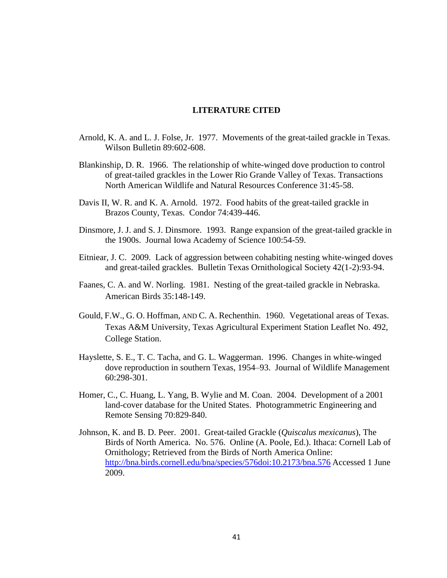#### **LITERATURE CITED**

- Arnold, K. A. and L. J. Folse, Jr. 1977. Movements of the great-tailed grackle in Texas. Wilson Bulletin 89:602-608.
- Blankinship, D. R. 1966. The relationship of white-winged dove production to control of great-tailed grackles in the Lower Rio Grande Valley of Texas. Transactions North American Wildlife and Natural Resources Conference 31:45-58.
- Davis II, W. R. and K. A. Arnold. 1972. Food habits of the great-tailed grackle in Brazos County, Texas. Condor 74:439-446.
- Dinsmore, J. J. and S. J. Dinsmore. 1993. Range expansion of the great-tailed grackle in the 1900s. Journal Iowa Academy of Science 100:54-59.
- Eitniear, J. C. 2009. Lack of aggression between cohabiting nesting white-winged doves and great-tailed grackles. Bulletin Texas Ornithological Society 42(1-2):93-94.
- Faanes, C. A. and W. Norling. 1981. Nesting of the great-tailed grackle in Nebraska. American Birds 35:148-149.
- Gould, F.W., G. O. Hoffman, AND C. A. Rechenthin. 1960. Vegetational areas of Texas. Texas A&M University, Texas Agricultural Experiment Station Leaflet No. 492, College Station.
- Hayslette, S. E., T. C. Tacha, and G. L. Waggerman. 1996. Changes in white-winged dove reproduction in southern Texas, 1954–93. Journal of Wildlife Management 60:298-301.
- Homer, C., C. Huang, L. Yang, B. Wylie and M. Coan. 2004. Development of a 2001 land-cover database for the United States. Photogrammetric Engineering and Remote Sensing 70:829-840.
- Johnson, K. and B. D. Peer. 2001. Great-tailed Grackle (*Quiscalus mexicanus*), The Birds of North America. No. 576. Online (A. Poole, Ed.). Ithaca: Cornell Lab of Ornithology; Retrieved from the Birds of North America Online: [http://bna.birds.cornell.edu/bna/species/576doi:10.2173/bna.576](http://bna.birds.cornell.edu.libproxy.txstate.edu/bna/species/576) Accessed 1 June 2009.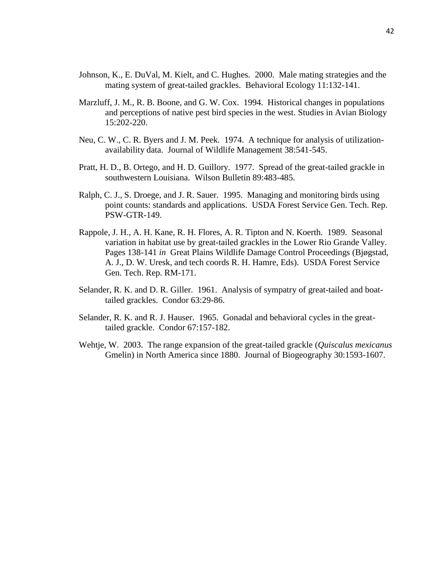- Johnson, K., E. DuVal, M. Kielt, and C. Hughes. 2000. Male mating strategies and the mating system of great-tailed grackles. Behavioral Ecology 11:132-141.
- Marzluff, J. M., R. B. Boone, and G. W. Cox. 1994. Historical changes in populations and perceptions of native pest bird species in the west. Studies in Avian Biology 15:202-220.
- Neu, C. W., C. R. Byers and J. M. Peek. 1974. A technique for analysis of utilizationavailability data. Journal of Wildlife Management 38:541-545.
- Pratt, H. D., B. Ortego, and H. D. Guillory. 1977. Spread of the great-tailed grackle in southwestern Louisiana. Wilson Bulletin 89:483-485.
- Ralph, C. J., S. Droege, and J. R. Sauer. 1995. Managing and monitoring birds using point counts: standards and applications. USDA Forest Service Gen. Tech. Rep. PSW-GTR-149.
- Rappole, J. H., A. H. Kane, R. H. Flores, A. R. Tipton and N. Koerth. 1989. Seasonal variation in habitat use by great-tailed grackles in the Lower Rio Grande Valley. Pages 138-141 *in* Great Plains Wildlife Damage Control Proceedings (Bjøgstad, A. J., D. W. Uresk, and tech coords R. H. Hamre, Eds). USDA Forest Service Gen. Tech. Rep. RM-171.
- Selander, R. K. and D. R. Giller. 1961. Analysis of sympatry of great-tailed and boattailed grackles. Condor 63:29-86.
- Selander, R. K. and R. J. Hauser. 1965. Gonadal and behavioral cycles in the greattailed grackle. Condor 67:157-182.
- Wehtje, W. 2003. The range expansion of the great-tailed grackle (*Quiscalus mexicanus* Gmelin) in North America since 1880. Journal of Biogeography 30:1593-1607.